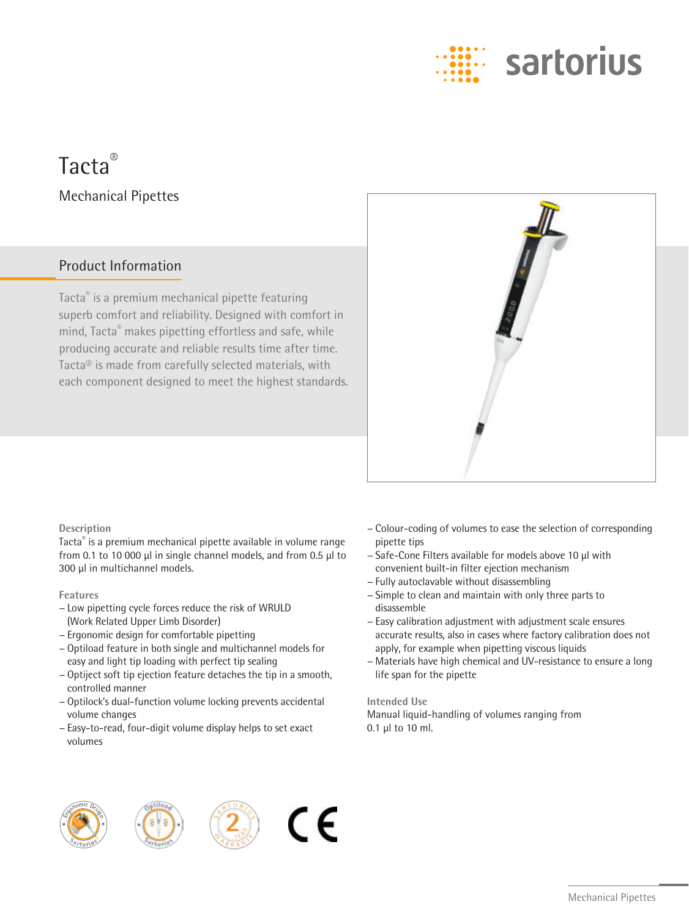

# Tacta® Mechanical Pipettes

### Product Information

Tacta® is a premium mechanical pipette featuring superb comfort and reliability. Designed with comfort in mind, Tacta® makes pipetting effortless and safe, while producing accurate and reliable results time after time. Tacta® is made from carefully selected materials, with each component designed to meet the highest standards.



### **Description**

Tacta® is a premium mechanical pipette available in volume range from 0.1 to 10 000 µl in single channel models, and from 0.5 µl to 300 µl in multichannel models.

#### **Features**

- − Low pipetting cycle forces reduce the risk of WRULD (Work Related Upper Limb Disorder)
- − Ergonomic design for comfortable pipetting
- − Optiload feature in both single and multichannel models for easy and light tip loading with perfect tip sealing
- − Optiject soft tip ejection feature detaches the tip in a smooth, controlled manner
- − Optilock's dual-function volume locking prevents accidental volume changes
- − Easy-to-read, four-digit volume display helps to set exact volumes
- − Colour-coding of volumes to ease the selection of corresponding pipette tips
- − Safe-Cone Filters available for models above 10 μl with convenient built-in filter ejection mechanism
- − Fully autoclavable without disassembling
- − Simple to clean and maintain with only three parts to disassemble
- − Easy calibration adjustment with adjustment scale ensures accurate results, also in cases where factory calibration does not apply, for example when pipetting viscous liquids
- − Materials have high chemical and UV-resistance to ensure a long life span for the pipette

#### **Intended Use**

Manual liquid-handling of volumes ranging from 0.1 μl to 10 ml.





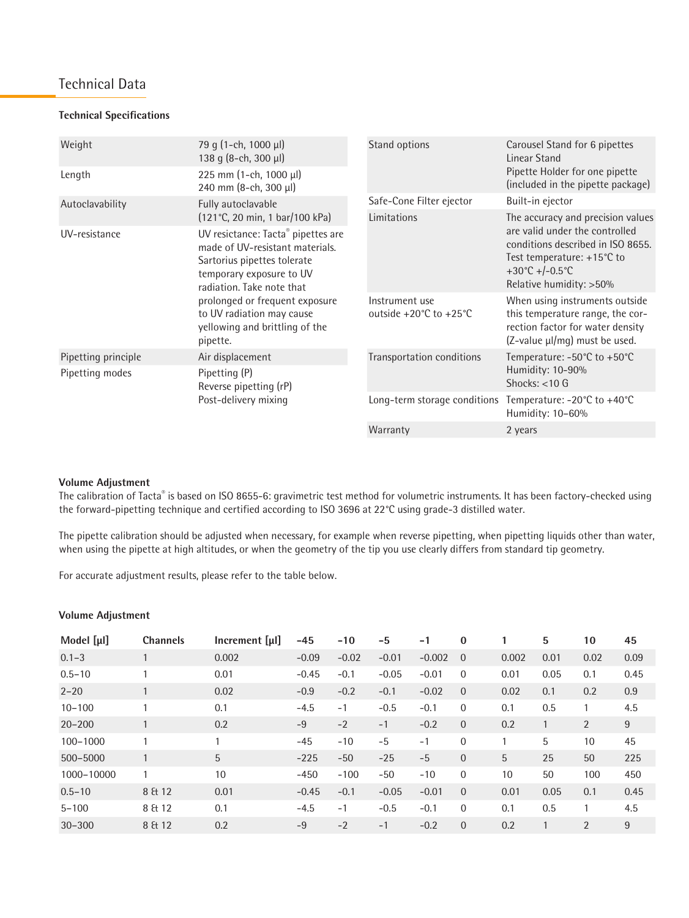### Technical Data

#### **Technical Specifications**

| Weight              | 79 g (1-ch, 1000 µl)<br>138 g (8-ch, 300 µl)                                                                                                                  | Stand options                                  | Carousel Stand for 6 pipettes<br>Linear Stand                                                                                                                                       |  |  |
|---------------------|---------------------------------------------------------------------------------------------------------------------------------------------------------------|------------------------------------------------|-------------------------------------------------------------------------------------------------------------------------------------------------------------------------------------|--|--|
| Length              | 225 mm (1-ch, 1000 µl)<br>240 mm (8-ch, 300 µl)                                                                                                               |                                                | Pipette Holder for one pipette<br>(included in the pipette package)                                                                                                                 |  |  |
| Autoclavability     | Fully autoclavable                                                                                                                                            | Safe-Cone Filter ejector                       | Built-in ejector                                                                                                                                                                    |  |  |
|                     | (121°C, 20 min, 1 bar/100 kPa)                                                                                                                                | Limitations                                    | The accuracy and precision values<br>are valid under the controlled<br>conditions described in ISO 8655.<br>Test temperature: +15°C to<br>+30°C +/-0.5°C<br>Relative humidity: >50% |  |  |
| UV-resistance       | UV resictance: Tacta® pipettes are<br>made of UV-resistant materials.<br>Sartorius pipettes tolerate<br>temporary exposure to UV<br>radiation. Take note that |                                                |                                                                                                                                                                                     |  |  |
|                     | prolonged or frequent exposure<br>to UV radiation may cause<br>yellowing and brittling of the<br>pipette.                                                     | Instrument use<br>outside +20 $°C$ to +25 $°C$ | When using instruments outside<br>this temperature range, the cor-<br>rection factor for water density<br>(Z-value µl/mg) must be used.                                             |  |  |
| Pipetting principle | Air displacement                                                                                                                                              | Transportation conditions                      | Temperature: -50°C to +50°C<br>Humidity: 10-90%<br>Shocks: $<$ 10 G                                                                                                                 |  |  |
| Pipetting modes     | Pipetting (P)<br>Reverse pipetting (rP)                                                                                                                       |                                                |                                                                                                                                                                                     |  |  |
|                     | Post-delivery mixing                                                                                                                                          | Long-term storage conditions                   | Temperature: -20°C to +40°C<br>Humidity: 10-60%                                                                                                                                     |  |  |
|                     |                                                                                                                                                               | Warranty                                       | 2 years                                                                                                                                                                             |  |  |

### **Volume Adjustment**

The calibration of Tacta® is based on ISO 8655-6: gravimetric test method for volumetric instruments. It has been factory-checked using the forward-pipetting technique and certified according to ISO 3696 at 22°C using grade-3 distilled water.

The pipette calibration should be adjusted when necessary, for example when reverse pipetting, when pipetting liquids other than water, when using the pipette at high altitudes, or when the geometry of the tip you use clearly differs from standard tip geometry.

For accurate adjustment results, please refer to the table below.

### **Volume Adjustment**

| Model $[\mu]$ | <b>Channels</b> | Increment [µ] | $-45$   | $-10$   | -5      | $-1$     | $\bf{0}$       |       | 5    | 10             | 45   |
|---------------|-----------------|---------------|---------|---------|---------|----------|----------------|-------|------|----------------|------|
| $0.1 - 3$     |                 | 0.002         | $-0.09$ | $-0.02$ | $-0.01$ | $-0.002$ | $\Omega$       | 0.002 | 0.01 | 0.02           | 0.09 |
| $0.5 - 10$    |                 | 0.01          | $-0.45$ | $-0.1$  | $-0.05$ | $-0.01$  | $\overline{0}$ | 0.01  | 0.05 | 0.1            | 0.45 |
| $2 - 20$      |                 | 0.02          | $-0.9$  | $-0.2$  | $-0.1$  | $-0.02$  | $\overline{0}$ | 0.02  | 0.1  | 0.2            | 0.9  |
| $10 - 100$    |                 | 0.1           | $-4.5$  | $-1$    | $-0.5$  | $-0.1$   | $\overline{0}$ | 0.1   | 0.5  |                | 4.5  |
| $20 - 200$    |                 | 0.2           | $-9$    | $-2$    | $-1$    | $-0.2$   | $\overline{0}$ | 0.2   |      | $\overline{2}$ | 9    |
| $100 - 1000$  | 1               |               | $-45$   | $-10$   | $-5$    | $-1$     | $\mathbf{0}$   |       | 5    | 10             | 45   |
| 500-5000      |                 | 5             | $-225$  | $-50$   | $-25$   | $-5$     | $\overline{0}$ | 5     | 25   | 50             | 225  |
| 1000-10000    |                 | 10            | $-450$  | $-100$  | $-50$   | $-10$    | $\overline{0}$ | 10    | 50   | 100            | 450  |
| $0.5 - 10$    | 8 & 12          | 0.01          | $-0.45$ | $-0.1$  | $-0.05$ | $-0.01$  | $\overline{0}$ | 0.01  | 0.05 | 0.1            | 0.45 |
| $5 - 100$     | 8 & 12          | 0.1           | $-4.5$  | $-1$    | $-0.5$  | $-0.1$   | $\overline{0}$ | 0.1   | 0.5  |                | 4.5  |
| $30 - 300$    | 8 & 12          | 0.2           | $-9$    | $-2$    | $-1$    | $-0.2$   | $\overline{0}$ | 0.2   |      | 2              | 9    |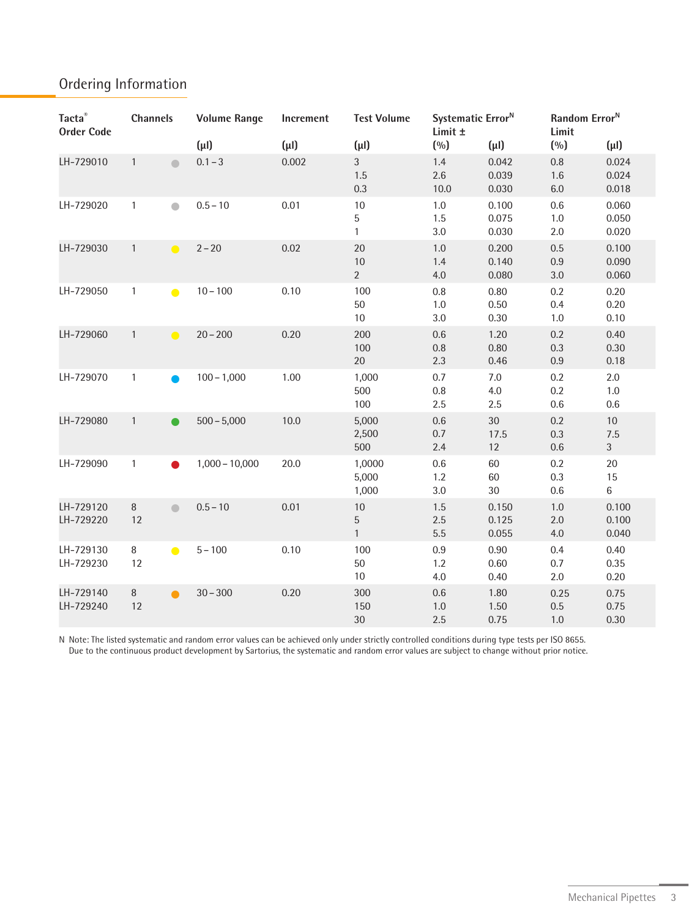### Ordering Information

| Tacta®<br><b>Order Code</b> | <b>Channels</b>                         | <b>Volume Range</b> | Increment | <b>Test Volume</b>           | Systematic Error <sup>N</sup><br>Limit ± |                         | Random Error <sup>N</sup><br>Limit |                                 |
|-----------------------------|-----------------------------------------|---------------------|-----------|------------------------------|------------------------------------------|-------------------------|------------------------------------|---------------------------------|
|                             |                                         | $(\mu I)$           | $(\mu I)$ | $(\mu I)$                    | (0/0)                                    | $(\mu I)$               | (%)                                | $(\mu I)$                       |
| LH-729010                   | $\mathbf{1}$                            | $0.1 - 3$           | 0.002     | $\mathfrak{Z}$<br>1.5<br>0.3 | 1.4<br>2.6<br>$10.0\,$                   | 0.042<br>0.039<br>0.030 | $0.8\,$<br>1.6<br>$6.0\,$          | 0.024<br>0.024<br>0.018         |
| LH-729020                   | $\mathbf{1}$<br>$\bullet$               | $0.5 - 10$          | 0.01      | $10$<br>5<br>$\mathbf{1}$    | 1.0<br>1.5<br>3.0                        | 0.100<br>0.075<br>0.030 | 0.6<br>$1.0\,$<br>2.0              | 0.060<br>0.050<br>0.020         |
| LH-729030                   | $\mathbf{1}$<br>$\bullet$               | $2 - 20$            | 0.02      | 20<br>$10$<br>$\overline{2}$ | $1.0$<br>1.4<br>4.0                      | 0.200<br>0.140<br>0.080 | 0.5<br>$0.9\,$<br>$3.0\,$          | 0.100<br>0.090<br>0.060         |
| LH-729050                   | $\mathbf{1}$<br>$\bullet$               | $10 - 100$          | 0.10      | 100<br>50<br>10              | 0.8<br>$1.0$<br>3.0                      | 0.80<br>0.50<br>0.30    | 0.2<br>0.4<br>$1.0\,$              | 0.20<br>0.20<br>0.10            |
| LH-729060                   | $\mathbf{1}$<br>$\bullet$               | $20 - 200$          | 0.20      | 200<br>100<br>$20\,$         | 0.6<br>0.8<br>2.3                        | 1.20<br>0.80<br>0.46    | 0.2<br>0.3<br>$0.9\,$              | 0.40<br>0.30<br>0.18            |
| LH-729070                   | $\mathbf{1}$                            | $100 - 1,000$       | 1.00      | 1,000<br>500<br>100          | 0.7<br>0.8<br>2.5                        | $7.0\,$<br>4.0<br>2.5   | 0.2<br>0.2<br>$0.6\,$              | 2.0<br>1.0<br>0.6               |
| LH-729080                   | $\mathbf{1}$                            | $500 - 5,000$       | 10.0      | 5,000<br>2,500<br>500        | $0.6\,$<br>0.7<br>2.4                    | 30<br>17.5<br>12        | 0.2<br>$0.3\,$<br>$0.6\,$          | $10\,$<br>7.5<br>$\mathfrak{Z}$ |
| LH-729090                   | $\mathbf{1}$                            | $1,000 - 10,000$    | 20.0      | 1,0000<br>5,000<br>1,000     | 0.6<br>1.2<br>3.0                        | 60<br>60<br>$30\,$      | 0.2<br>0.3<br>$0.6\,$              | 20<br>15<br>$6\phantom{a}$      |
| LH-729120<br>LH-729220      | $\, 8$<br>$\qquad \qquad \bullet$<br>12 | $0.5 - 10$          | 0.01      | $10\,$<br>5<br>$\mathbf{1}$  | 1.5<br>2.5<br>5.5                        | 0.150<br>0.125<br>0.055 | $1.0\,$<br>2.0<br>4.0              | 0.100<br>0.100<br>0.040         |
| LH-729130<br>LH-729230      | $\, 8$<br>$\bullet$<br>12               | $5 - 100$           | 0.10      | 100<br>50<br>10              | 0.9<br>1.2<br>4.0                        | 0.90<br>0.60<br>0.40    | 0.4<br>0.7<br>2.0                  | 0.40<br>0.35<br>0.20            |
| LH-729140<br>LH-729240      | $\, 8$<br>$\bullet$<br>12               | $30 - 300$          | 0.20      | 300<br>150<br>30             | $0.6\,$<br>$1.0\,$<br>2.5                | 1.80<br>1.50<br>0.75    | 0.25<br>$0.5\,$<br>$1.0\,$         | 0.75<br>0.75<br>0.30            |

N Note: The listed systematic and random error values can be achieved only under strictly controlled conditions during type tests per ISO 8655. Due to the continuous product development by Sartorius, the systematic and random error values are subject to change without prior notice.